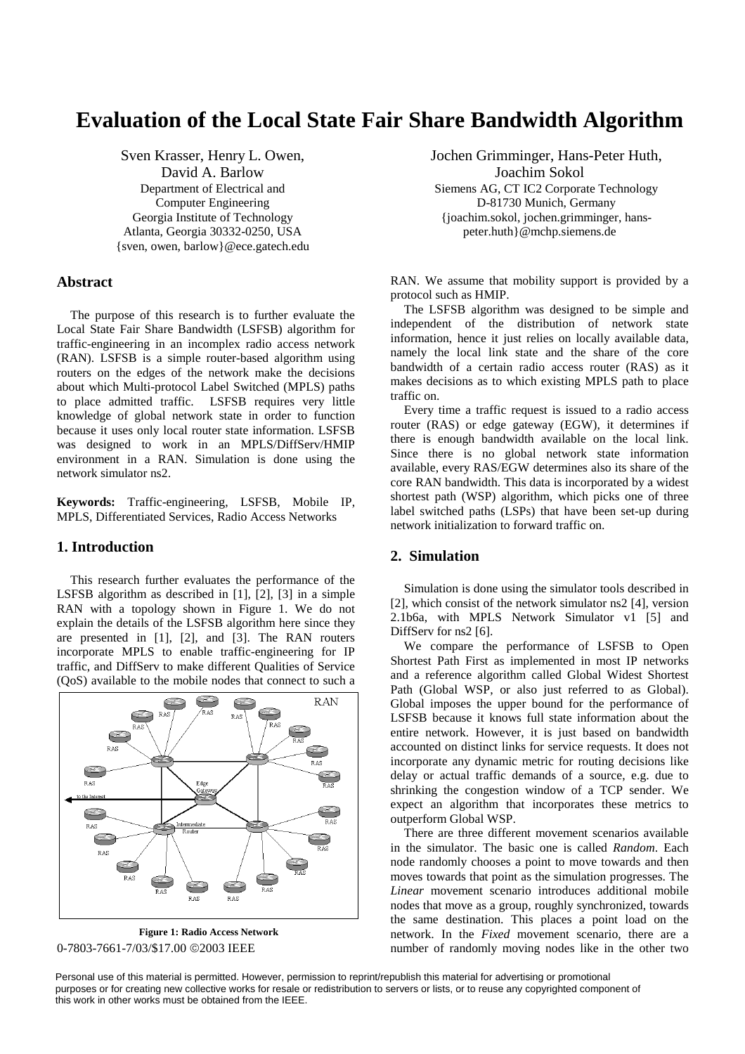# **Evaluation of the Local State Fair Share Bandwidth Algorithm**

Sven Krasser, Henry L. Owen, David A. Barlow Department of Electrical and Computer Engineering Georgia Institute of Technology Atlanta, Georgia 30332-0250, USA {sven, owen, barlow}@ece.gatech.edu

## **Abstract**

The purpose of this research is to further evaluate the Local State Fair Share Bandwidth (LSFSB) algorithm for traffic-engineering in an incomplex radio access network (RAN). LSFSB is a simple router-based algorithm using routers on the edges of the network make the decisions about which Multi-protocol Label Switched (MPLS) paths to place admitted traffic. LSFSB requires very little knowledge of global network state in order to function because it uses only local router state information. LSFSB was designed to work in an MPLS/DiffServ/HMIP environment in a RAN. Simulation is done using the network simulator ns2.

**Keywords:** Traffic-engineering, LSFSB, Mobile IP, MPLS, Differentiated Services, Radio Access Networks

## **1. Introduction**

This research further evaluates the performance of the LSFSB algorithm as described in [1], [2], [3] in a simple RAN with a topology shown in Figure 1. We do not explain the details of the LSFSB algorithm here since they are presented in [1], [2], and [3]. The RAN routers incorporate MPLS to enable traffic-engineering for IP traffic, and DiffServ to make different Qualities of Service (QoS) available to the mobile nodes that connect to such a



**Figure 1: Radio Access Network**  0-7803-7661-7/03/\$17.00 ©2003 IEEE

Jochen Grimminger, Hans-Peter Huth, Joachim Sokol Siemens AG, CT IC2 Corporate Technology D-81730 Munich, Germany {joachim.sokol, jochen.grimminger, hanspeter.huth}@mchp.siemens.de

RAN. We assume that mobility support is provided by a protocol such as HMIP.

The LSFSB algorithm was designed to be simple and independent of the distribution of network state information, hence it just relies on locally available data, namely the local link state and the share of the core bandwidth of a certain radio access router (RAS) as it makes decisions as to which existing MPLS path to place traffic on.

Every time a traffic request is issued to a radio access router (RAS) or edge gateway (EGW), it determines if there is enough bandwidth available on the local link. Since there is no global network state information available, every RAS/EGW determines also its share of the core RAN bandwidth. This data is incorporated by a widest shortest path (WSP) algorithm, which picks one of three label switched paths (LSPs) that have been set-up during network initialization to forward traffic on.

# **2. Simulation**

Simulation is done using the simulator tools described in [2], which consist of the network simulator ns2 [4], version 2.1b6a, with MPLS Network Simulator v1 [5] and DiffServ for ns2 [6].

We compare the performance of LSFSB to Open Shortest Path First as implemented in most IP networks and a reference algorithm called Global Widest Shortest Path (Global WSP, or also just referred to as Global). Global imposes the upper bound for the performance of LSFSB because it knows full state information about the entire network. However, it is just based on bandwidth accounted on distinct links for service requests. It does not incorporate any dynamic metric for routing decisions like delay or actual traffic demands of a source, e.g. due to shrinking the congestion window of a TCP sender. We expect an algorithm that incorporates these metrics to outperform Global WSP.

There are three different movement scenarios available in the simulator. The basic one is called *Random*. Each node randomly chooses a point to move towards and then moves towards that point as the simulation progresses. The *Linear* movement scenario introduces additional mobile nodes that move as a group, roughly synchronized, towards the same destination. This places a point load on the network. In the *Fixed* movement scenario, there are a number of randomly moving nodes like in the other two

Personal use of this material is permitted. However, permission to reprint/republish this material for advertising or promotional purposes or for creating new collective works for resale or redistribution to servers or lists, or to reuse any copyrighted component of this work in other works must be obtained from the IEEE.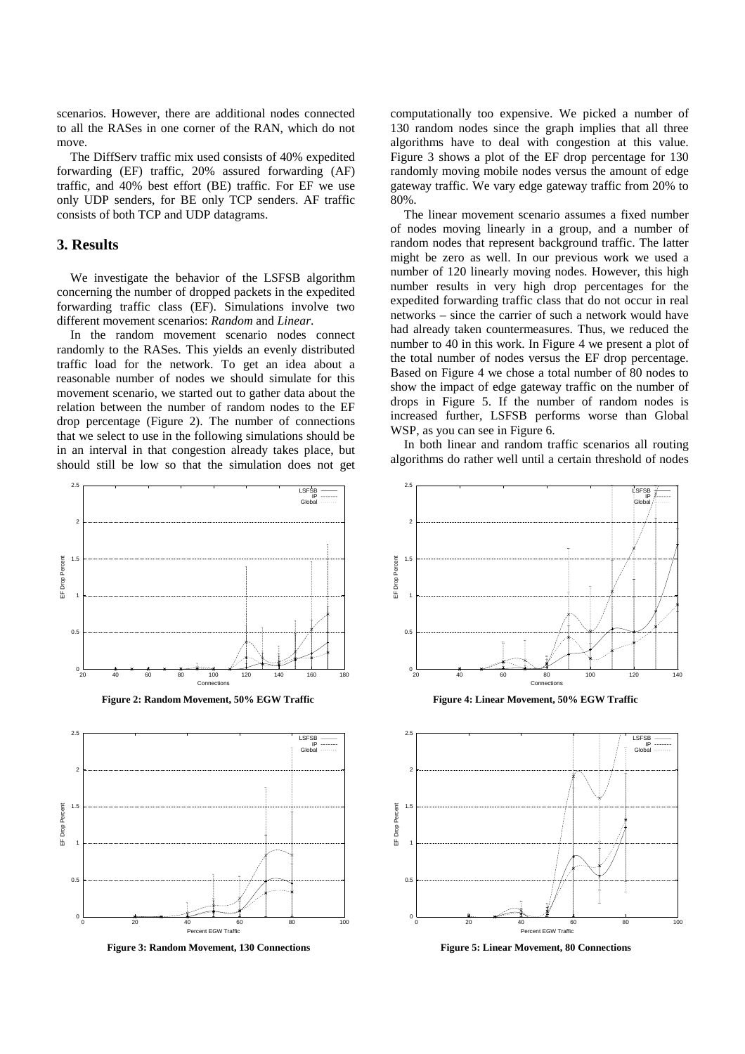scenarios. However, there are additional nodes connected to all the RASes in one corner of the RAN, which do not move.

The DiffServ traffic mix used consists of 40% expedited forwarding (EF) traffic, 20% assured forwarding (AF) traffic, and 40% best effort (BE) traffic. For EF we use only UDP senders, for BE only TCP senders. AF traffic consists of both TCP and UDP datagrams.

#### **3. Results**

We investigate the behavior of the LSFSB algorithm concerning the number of dropped packets in the expedited forwarding traffic class (EF). Simulations involve two different movement scenarios: *Random* and *Linear*.

In the random movement scenario nodes connect randomly to the RASes. This yields an evenly distributed traffic load for the network. To get an idea about a reasonable number of nodes we should simulate for this movement scenario, we started out to gather data about the relation between the number of random nodes to the EF drop percentage (Figure 2). The number of connections that we select to use in the following simulations should be in an interval in that congestion already takes place, but should still be low so that the simulation does not get



**Figure 2: Random Movement, 50% EGW Traffic** 



**Figure 3: Random Movement, 130 Connections** 

computationally too expensive. We picked a number of 130 random nodes since the graph implies that all three algorithms have to deal with congestion at this value. Figure 3 shows a plot of the EF drop percentage for 130 randomly moving mobile nodes versus the amount of edge gateway traffic. We vary edge gateway traffic from 20% to 80%.

The linear movement scenario assumes a fixed number of nodes moving linearly in a group, and a number of random nodes that represent background traffic. The latter might be zero as well. In our previous work we used a number of 120 linearly moving nodes. However, this high number results in very high drop percentages for the expedited forwarding traffic class that do not occur in real networks – since the carrier of such a network would have had already taken countermeasures. Thus, we reduced the number to 40 in this work. In Figure 4 we present a plot of the total number of nodes versus the EF drop percentage. Based on Figure 4 we chose a total number of 80 nodes to show the impact of edge gateway traffic on the number of drops in Figure 5. If the number of random nodes is increased further, LSFSB performs worse than Global WSP, as you can see in Figure 6.

In both linear and random traffic scenarios all routing algorithms do rather well until a certain threshold of nodes



**Figure 4: Linear Movement, 50% EGW Traffic** 



**Figure 5: Linear Movement, 80 Connections**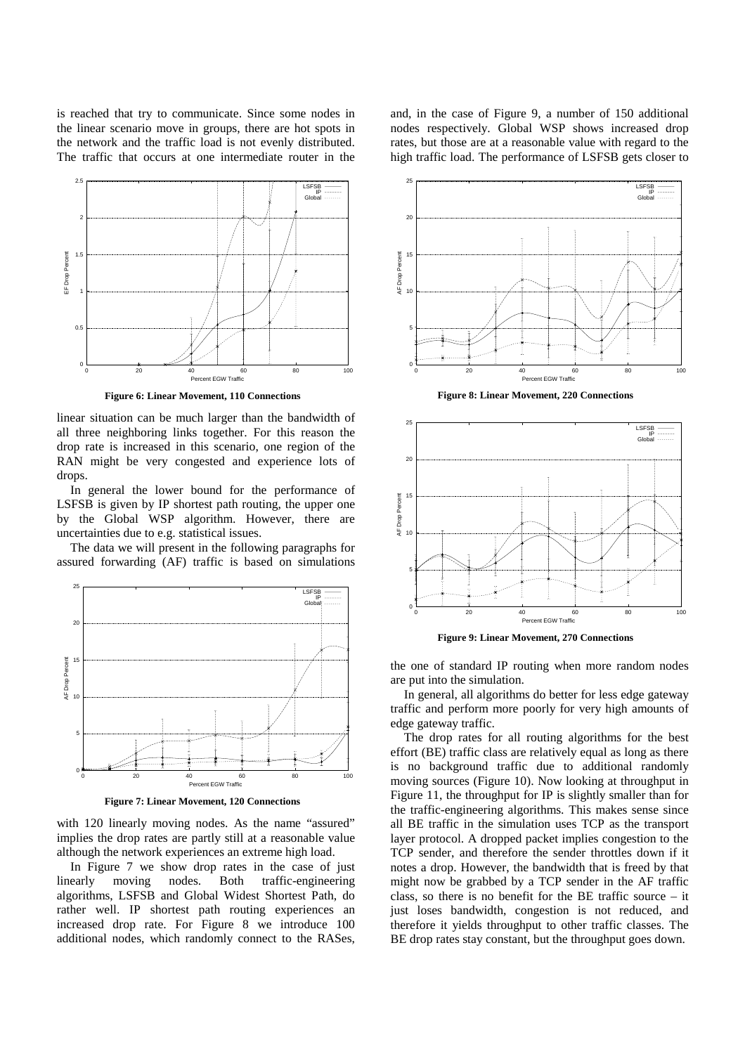is reached that try to communicate. Since some nodes in the linear scenario move in groups, there are hot spots in the network and the traffic load is not evenly distributed. The traffic that occurs at one intermediate router in the



**Figure 6: Linear Movement, 110 Connections** 

linear situation can be much larger than the bandwidth of all three neighboring links together. For this reason the drop rate is increased in this scenario, one region of the RAN might be very congested and experience lots of drops.

In general the lower bound for the performance of LSFSB is given by IP shortest path routing, the upper one by the Global WSP algorithm. However, there are uncertainties due to e.g. statistical issues.

The data we will present in the following paragraphs for assured forwarding (AF) traffic is based on simulations



**Figure 7: Linear Movement, 120 Connections** 

with 120 linearly moving nodes. As the name "assured" implies the drop rates are partly still at a reasonable value although the network experiences an extreme high load.

In Figure 7 we show drop rates in the case of just linearly moving nodes. Both traffic-engineering algorithms, LSFSB and Global Widest Shortest Path, do rather well. IP shortest path routing experiences an increased drop rate. For Figure 8 we introduce 100 additional nodes, which randomly connect to the RASes, and, in the case of Figure 9, a number of 150 additional nodes respectively. Global WSP shows increased drop rates, but those are at a reasonable value with regard to the high traffic load. The performance of LSFSB gets closer to



**Figure 8: Linear Movement, 220 Connections** 



**Figure 9: Linear Movement, 270 Connections** 

the one of standard IP routing when more random nodes are put into the simulation.

In general, all algorithms do better for less edge gateway traffic and perform more poorly for very high amounts of edge gateway traffic.

The drop rates for all routing algorithms for the best effort (BE) traffic class are relatively equal as long as there is no background traffic due to additional randomly moving sources (Figure 10). Now looking at throughput in Figure 11, the throughput for IP is slightly smaller than for the traffic-engineering algorithms. This makes sense since all BE traffic in the simulation uses TCP as the transport layer protocol. A dropped packet implies congestion to the TCP sender, and therefore the sender throttles down if it notes a drop. However, the bandwidth that is freed by that might now be grabbed by a TCP sender in the AF traffic class, so there is no benefit for the BE traffic source – it just loses bandwidth, congestion is not reduced, and therefore it yields throughput to other traffic classes. The BE drop rates stay constant, but the throughput goes down.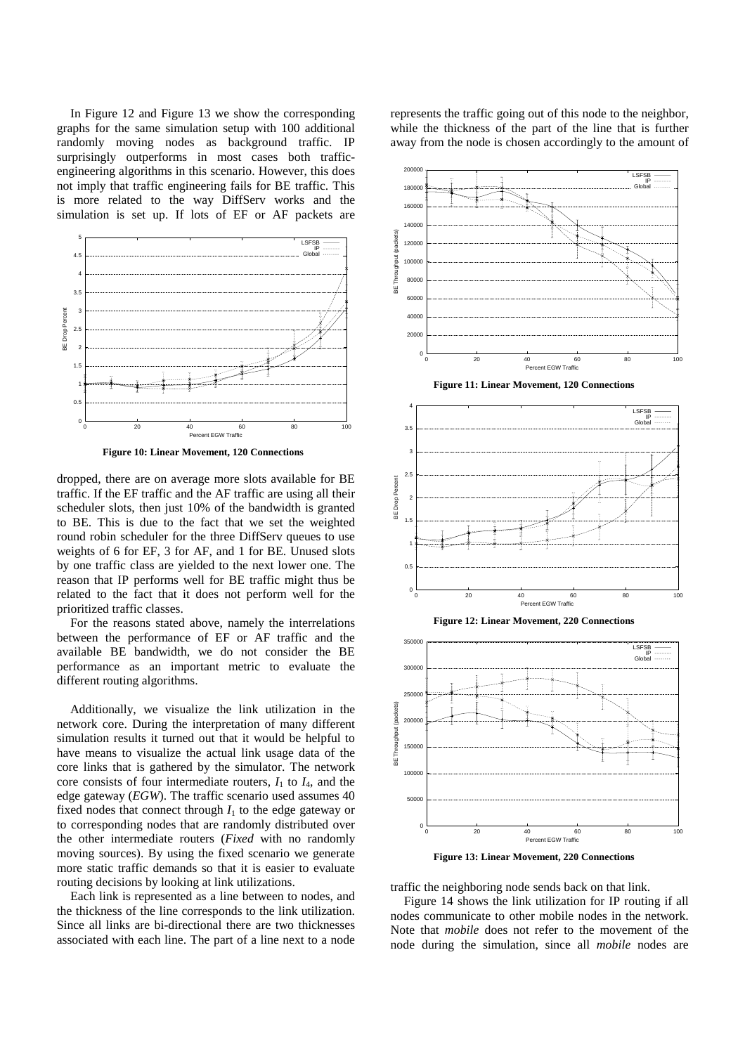In Figure 12 and Figure 13 we show the corresponding graphs for the same simulation setup with 100 additional randomly moving nodes as background traffic. IP surprisingly outperforms in most cases both trafficengineering algorithms in this scenario. However, this does not imply that traffic engineering fails for BE traffic. This is more related to the way DiffServ works and the simulation is set up. If lots of EF or AF packets are



**Figure 10: Linear Movement, 120 Connections** 

dropped, there are on average more slots available for BE traffic. If the EF traffic and the AF traffic are using all their scheduler slots, then just 10% of the bandwidth is granted to BE. This is due to the fact that we set the weighted round robin scheduler for the three DiffServ queues to use weights of 6 for EF, 3 for AF, and 1 for BE. Unused slots by one traffic class are yielded to the next lower one. The reason that IP performs well for BE traffic might thus be related to the fact that it does not perform well for the prioritized traffic classes.

For the reasons stated above, namely the interrelations between the performance of EF or AF traffic and the available BE bandwidth, we do not consider the BE performance as an important metric to evaluate the different routing algorithms.

Additionally, we visualize the link utilization in the network core. During the interpretation of many different simulation results it turned out that it would be helpful to have means to visualize the actual link usage data of the core links that is gathered by the simulator. The network core consists of four intermediate routers,  $I_1$  to  $I_4$ , and the edge gateway (*EGW*). The traffic scenario used assumes 40 fixed nodes that connect through  $I_1$  to the edge gateway or to corresponding nodes that are randomly distributed over the other intermediate routers (*Fixed* with no randomly moving sources). By using the fixed scenario we generate more static traffic demands so that it is easier to evaluate routing decisions by looking at link utilizations.

Each link is represented as a line between to nodes, and the thickness of the line corresponds to the link utilization. Since all links are bi-directional there are two thicknesses associated with each line. The part of a line next to a node represents the traffic going out of this node to the neighbor, while the thickness of the part of the line that is further away from the node is chosen accordingly to the amount of



**Figure 13: Linear Movement, 220 Connections** 

0 20 40 60 80 100

nt EGW Traffic

traffic the neighboring node sends back on that link.

Figure 14 shows the link utilization for IP routing if all nodes communicate to other mobile nodes in the network. Note that *mobile* does not refer to the movement of the node during the simulation, since all *mobile* nodes are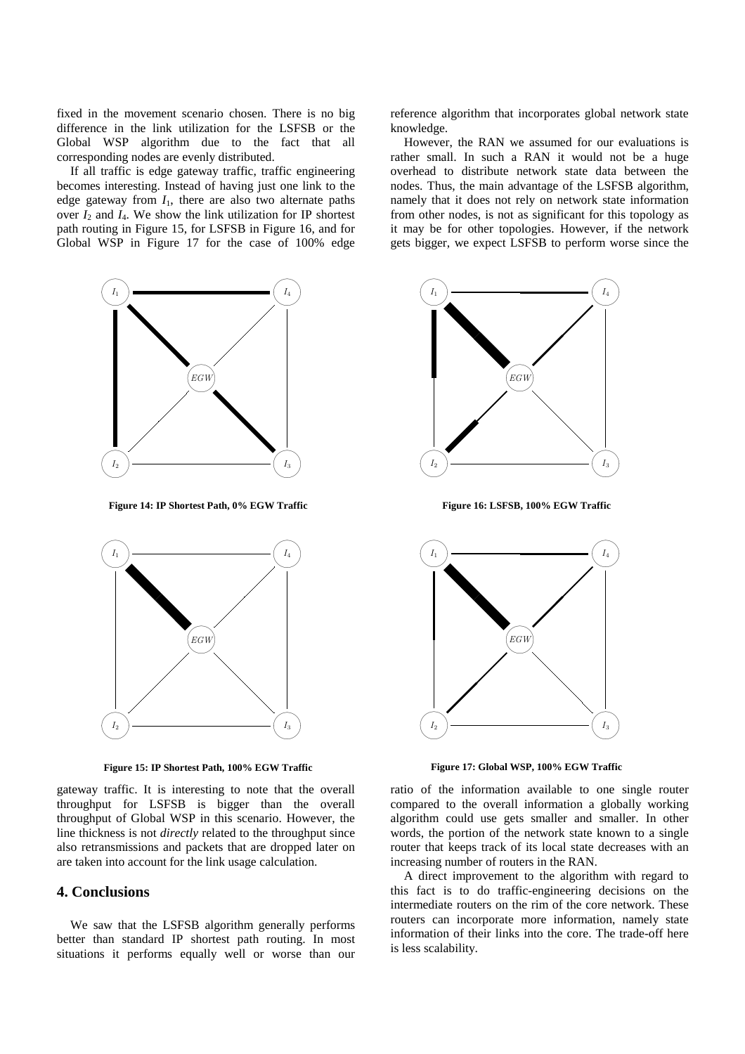fixed in the movement scenario chosen. There is no big difference in the link utilization for the LSFSB or the Global WSP algorithm due to the fact that all corresponding nodes are evenly distributed.

If all traffic is edge gateway traffic, traffic engineering becomes interesting. Instead of having just one link to the edge gateway from  $I_1$ , there are also two alternate paths over  $I_2$  and  $I_4$ . We show the link utilization for IP shortest path routing in Figure 15, for LSFSB in Figure 16, and for Global WSP in Figure 17 for the case of 100% edge



**Figure 14: IP Shortest Path, 0% EGW Traffic** 



**Figure 15: IP Shortest Path, 100% EGW Traffic** 

gateway traffic. It is interesting to note that the overall throughput for LSFSB is bigger than the overall throughput of Global WSP in this scenario. However, the line thickness is not *directly* related to the throughput since also retransmissions and packets that are dropped later on are taken into account for the link usage calculation.

#### **4. Conclusions**

We saw that the LSFSB algorithm generally performs better than standard IP shortest path routing. In most situations it performs equally well or worse than our

reference algorithm that incorporates global network state knowledge.

However, the RAN we assumed for our evaluations is rather small. In such a RAN it would not be a huge overhead to distribute network state data between the nodes. Thus, the main advantage of the LSFSB algorithm, namely that it does not rely on network state information from other nodes, is not as significant for this topology as it may be for other topologies. However, if the network gets bigger, we expect LSFSB to perform worse since the



**Figure 16: LSFSB, 100% EGW Traffic** 



**Figure 17: Global WSP, 100% EGW Traffic** 

ratio of the information available to one single router compared to the overall information a globally working algorithm could use gets smaller and smaller. In other words, the portion of the network state known to a single router that keeps track of its local state decreases with an increasing number of routers in the RAN.

A direct improvement to the algorithm with regard to this fact is to do traffic-engineering decisions on the intermediate routers on the rim of the core network. These routers can incorporate more information, namely state information of their links into the core. The trade-off here is less scalability.